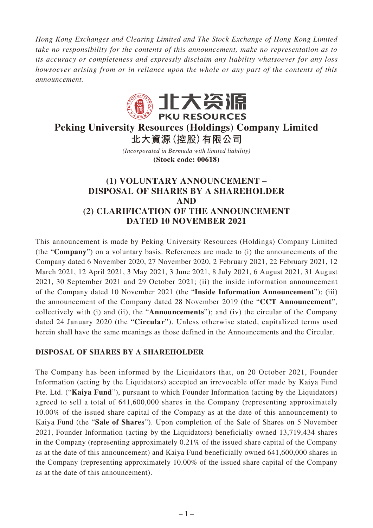*Hong Kong Exchanges and Clearing Limited and The Stock Exchange of Hong Kong Limited take no responsibility for the contents of this announcement, make no representation as to its accuracy or completeness and expressly disclaim any liability whatsoever for any loss howsoever arising from or in reliance upon the whole or any part of the contents of this announcement.*



# **Peking University Resources (Holdings) Company Limited 北大資源(控股)有限公司**

*(Incorporated in Bermuda with limited liability)* **(Stock code: 00618)**

## **(1) VOLUNTARY ANNOUNCEMENT – DISPOSAL OF SHARES BY A SHAREHOLDER AND (2) CLARIFICATION OF THE ANNOUNCEMENT DATED 10 NOVEMBER 2021**

This announcement is made by Peking University Resources (Holdings) Company Limited (the "**Company**") on a voluntary basis. References are made to (i) the announcements of the Company dated 6 November 2020, 27 November 2020, 2 February 2021, 22 February 2021, 12 March 2021, 12 April 2021, 3 May 2021, 3 June 2021, 8 July 2021, 6 August 2021, 31 August 2021, 30 September 2021 and 29 October 2021; (ii) the inside information announcement of the Company dated 10 November 2021 (the "**Inside Information Announcement**"); (iii) the announcement of the Company dated 28 November 2019 (the "**CCT Announcement**", collectively with (i) and (ii), the "**Announcements**"); and (iv) the circular of the Company dated 24 January 2020 (the "**Circular**"). Unless otherwise stated, capitalized terms used herein shall have the same meanings as those defined in the Announcements and the Circular.

### **DISPOSAL OF SHARES BY A SHAREHOLDER**

The Company has been informed by the Liquidators that, on 20 October 2021, Founder Information (acting by the Liquidators) accepted an irrevocable offer made by Kaiya Fund Pte. Ltd. ("**Kaiya Fund**"), pursuant to which Founder Information (acting by the Liquidators) agreed to sell a total of 641,600,000 shares in the Company (representing approximately 10.00% of the issued share capital of the Company as at the date of this announcement) to Kaiya Fund (the "**Sale of Shares**"). Upon completion of the Sale of Shares on 5 November 2021, Founder Information (acting by the Liquidators) beneficially owned 13,719,434 shares in the Company (representing approximately 0.21% of the issued share capital of the Company as at the date of this announcement) and Kaiya Fund beneficially owned 641,600,000 shares in the Company (representing approximately 10.00% of the issued share capital of the Company as at the date of this announcement).